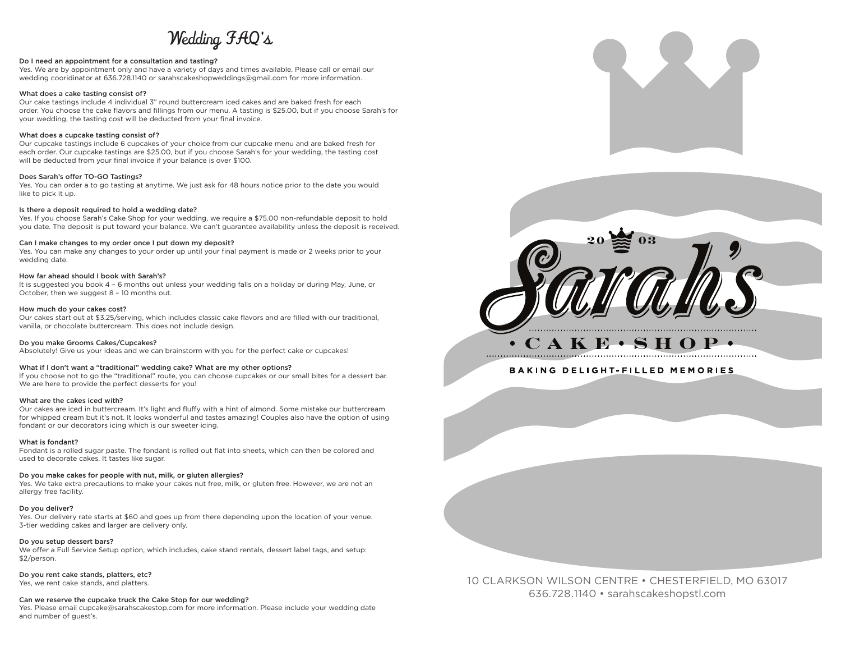# Wedding FAQ's

# Do I need an appointment for a consultation and tasting?

Yes. We are by appointment only and have a variety of days and times available. Please call or email our wedding cooridinator at 636.728.1140 or sarahscakeshopweddings@gmail.com for more information.

#### What does a cake tasting consist of?

Our cake tastings include 4 individual 3" round buttercream iced cakes and are baked fresh for each order. You choose the cake flavors and fillings from our menu. A tasting is \$25.00, but if you choose Sarah's for your wedding, the tasting cost will be deducted from your final invoice.

### What does a cupcake tasting consist of?

Our cupcake tastings include 6 cupcakes of your choice from our cupcake menu and are baked fresh for each order. Our cupcake tastings are \$25.00, but if you choose Sarah's for your wedding, the tasting cost will be deducted from your final invoice if your balance is over \$100.

#### Does Sarah's offer TO-GO Tastings?

Yes. You can order a to go tasting at anytime. We just ask for 48 hours notice prior to the date you would like to pick it up.

#### Is there a deposit required to hold a wedding date?

Yes. If you choose Sarah's Cake Shop for your wedding, we require a \$75.00 non-refundable deposit to hold you date. The deposit is put toward your balance. We can't guarantee availability unless the deposit is received.

#### Can I make changes to my order once I put down my deposit?

Yes. You can make any changes to your order up until your final payment is made or 2 weeks prior to your wedding date.

## How far ahead should I book with Sarah's?

It is suggested you book 4 – 6 months out unless your wedding falls on a holiday or during May, June, or October, then we suggest 8 – 10 months out.

#### How much do your cakes cost?

Our cakes start out at \$3.25/serving, which includes classic cake flavors and are filled with our traditional, vanilla, or chocolate buttercream. This does not include design.

#### Do you make Grooms Cakes/Cupcakes?

Absolutely! Give us your ideas and we can brainstorm with you for the perfect cake or cupcakes!

## What if I don't want a "traditional" wedding cake? What are my other options?

If you choose not to go the "traditional" route, you can choose cupcakes or our small bites for a dessert bar. We are here to provide the perfect desserts for you!

#### What are the cakes iced with?

Our cakes are iced in buttercream. It's light and fluffy with a hint of almond. Some mistake our buttercream for whipped cream but it's not. It looks wonderful and tastes amazing! Couples also have the option of using fondant or our decorators icing which is our sweeter icing.

#### What is fondant?

Fondant is a rolled sugar paste. The fondant is rolled out flat into sheets, which can then be colored and used to decorate cakes. It tastes like sugar.

# Do you make cakes for people with nut, milk, or gluten allergies?

Yes. We take extra precautions to make your cakes nut free, milk, or gluten free. However, we are not an allergy free facility.

## Do you deliver?

Yes. Our delivery rate starts at \$60 and goes up from there depending upon the location of your venue. 3-tier wedding cakes and larger are delivery only.

### Do you setup dessert bars?

We offer a Full Service Setup option, which includes, cake stand rentals, dessert label tags, and setup: \$2/person.

# Do you rent cake stands, platters, etc?

Yes, we rent cake stands, and platters.

## Can we reserve the cupcake truck the Cake Stop for our wedding?

Yes. Please email cupcake@sarahscakestop.com for more information. Please include your wedding date and number of guest's.





**BAKING DELIGHT-FILLED MEMORIES** 

10 CLARKSON WILSON CENTRE • CHESTERFIELD, MO 63017 636.728.1140 • sarahscakeshopstl.com